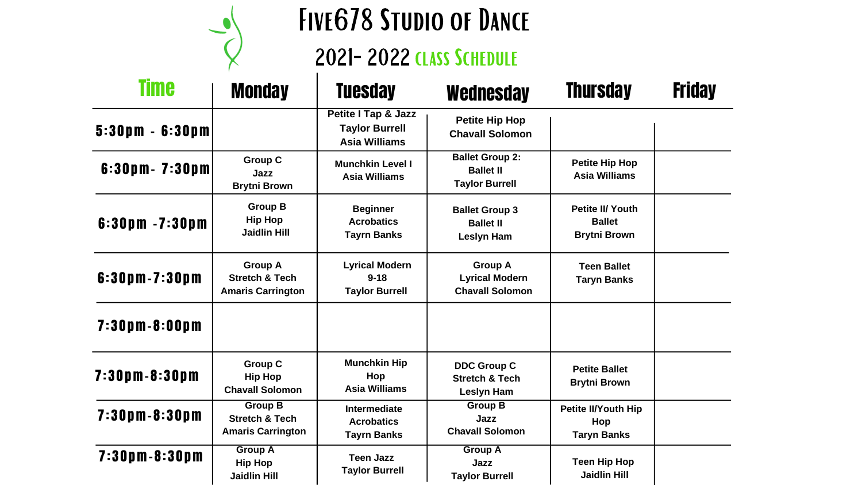

## FIVE678 STUDIO OF DANCE 2021-2022 class Schedule

| <b>Petite Hip Hop</b><br><b>Asia Williams</b>                   |  |
|-----------------------------------------------------------------|--|
| <b>Petite II/ Youth</b><br><b>Ballet</b><br><b>Brytni Brown</b> |  |
| <b>Teen Ballet</b><br><b>Taryn Banks</b>                        |  |
|                                                                 |  |
| <b>Petite Ballet</b><br><b>Brytni Brown</b>                     |  |
| <b>Petite II/Youth Hip</b><br>Hop<br><b>Taryn Banks</b>         |  |
| <b>Teen Hip Hop</b><br><b>Jaidlin Hill</b>                      |  |

| <b>Time</b>                         | <b>Monday</b>                                                           | <b>Tuesday</b>                                                       | <b>Wednesday</b>                                                     |
|-------------------------------------|-------------------------------------------------------------------------|----------------------------------------------------------------------|----------------------------------------------------------------------|
| $5:30 \text{ pm} - 6:30 \text{ pm}$ |                                                                         | Petite I Tap & Jazz<br><b>Taylor Burrell</b><br><b>Asia Williams</b> | <b>Petite Hip Hop</b><br><b>Chavall Solomon</b>                      |
| 6:30pm - 7:30pm                     | <b>Group C</b><br>Jazz<br><b>Brytni Brown</b>                           | <b>Munchkin Level I</b><br><b>Asia Williams</b>                      | <b>Ballet Group 2:</b><br><b>Ballet II</b><br><b>Taylor Burrell</b>  |
| $6:30$ pm $-7:30$ pm                | <b>Group B</b><br><b>Hip Hop</b><br><b>Jaidlin Hill</b>                 | <b>Beginner</b><br><b>Acrobatics</b><br><b>Tayrn Banks</b>           | <b>Ballet Group 3</b><br><b>Ballet II</b><br><b>Leslyn Ham</b>       |
| 6:30pm-7:30pm                       | <b>Group A</b><br><b>Stretch &amp; Tech</b><br><b>Amaris Carrington</b> | <b>Lyrical Modern</b><br>$9 - 18$<br><b>Taylor Burrell</b>           | <b>Group A</b><br><b>Lyrical Modern</b><br><b>Chavall Solomon</b>    |
| $7:30$ pm-8:00pm                    |                                                                         |                                                                      |                                                                      |
| $7:30$ pm - 8:30pm                  | <b>Group C</b><br><b>Hip Hop</b><br><b>Chavall Solomon</b>              | <b>Munchkin Hip</b><br>Hop<br><b>Asia Williams</b>                   | <b>DDC Group C</b><br><b>Stretch &amp; Tech</b><br><b>Leslyn Ham</b> |
| $7:30$ pm-8:30pm                    | <b>Group B</b><br><b>Stretch &amp; Tech</b><br><b>Amaris Carrington</b> | <b>Intermediate</b><br><b>Acrobatics</b><br><b>Tayrn Banks</b>       | <b>Group B</b><br><b>Jazz</b><br><b>Chavall Solomon</b>              |
| $7:30p$ m $-8:30p$ m                | <b>Group A</b><br><b>Hip Hop</b><br><b>Jaidlin Hill</b>                 | <b>Teen Jazz</b><br><b>Taylor Burrell</b>                            | <b>Group A</b><br>Jazz<br><b>Taylor Burrell</b>                      |

## **Thursday Friday**